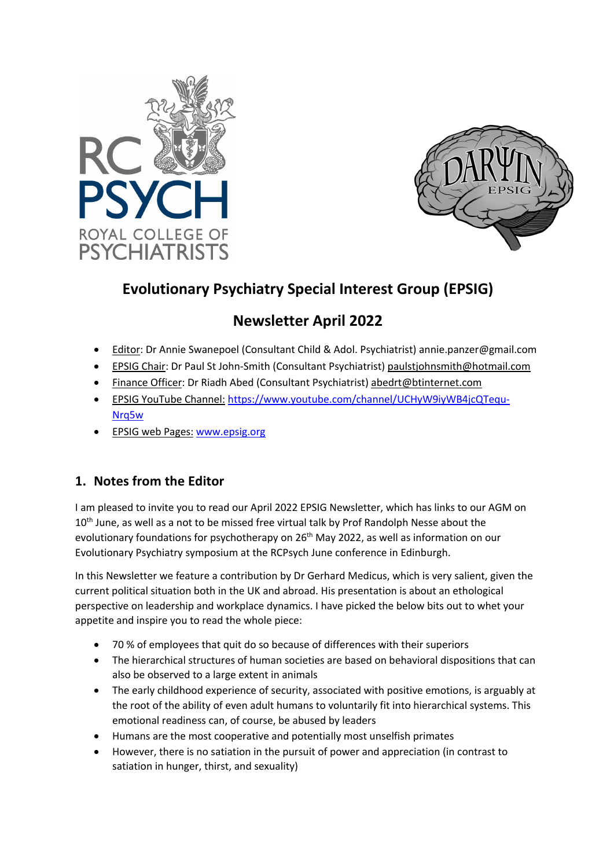



# **Evolutionary Psychiatry Special Interest Group (EPSIG)**

# **Newsletter April 2022**

- Editor: Dr Annie Swanepoel (Consultant Child & Adol. Psychiatrist) annie.panzer@gmail.com
- EPSIG Chair: Dr Paul St John-Smith (Consultant Psychiatrist) paulstjohnsmith@hotmail.com
- Finance Officer: Dr Riadh Abed (Consultant Psychiatrist) abedrt@btinternet.com
- EPSIG YouTube Channel: https://www.youtube.com/channel/UCHyW9iyWB4jcQTequ-Nrq5w
- EPSIG web Pages: www.epsig.org

### **1. Notes from the Editor**

I am pleased to invite you to read our April 2022 EPSIG Newsletter, which has links to our AGM on 10<sup>th</sup> June, as well as a not to be missed free virtual talk by Prof Randolph Nesse about the evolutionary foundations for psychotherapy on 26<sup>th</sup> May 2022, as well as information on our Evolutionary Psychiatry symposium at the RCPsych June conference in Edinburgh.

In this Newsletter we feature a contribution by Dr Gerhard Medicus, which is very salient, given the current political situation both in the UK and abroad. His presentation is about an ethological perspective on leadership and workplace dynamics. I have picked the below bits out to whet your appetite and inspire you to read the whole piece:

- 70 % of employees that quit do so because of differences with their superiors
- The hierarchical structures of human societies are based on behavioral dispositions that can also be observed to a large extent in animals
- The early childhood experience of security, associated with positive emotions, is arguably at the root of the ability of even adult humans to voluntarily fit into hierarchical systems. This emotional readiness can, of course, be abused by leaders
- Humans are the most cooperative and potentially most unselfish primates
- However, there is no satiation in the pursuit of power and appreciation (in contrast to satiation in hunger, thirst, and sexuality)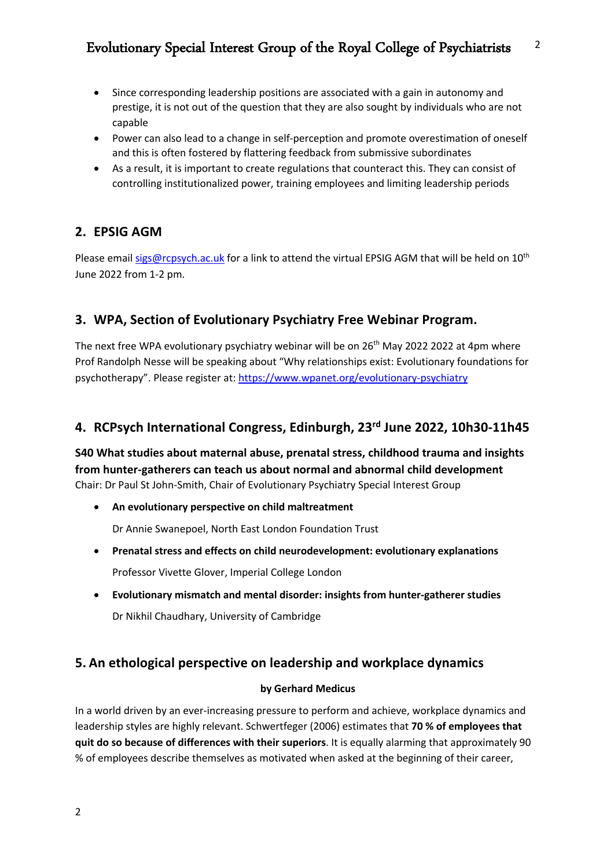- Since corresponding leadership positions are associated with a gain in autonomy and prestige, it is not out of the question that they are also sought by individuals who are not capable
- Power can also lead to a change in self-perception and promote overestimation of oneself and this is often fostered by flattering feedback from submissive subordinates
- As a result, it is important to create regulations that counteract this. They can consist of controlling institutionalized power, training employees and limiting leadership periods

## **2. EPSIG AGM**

Please email sigs@rcpsych.ac.uk for a link to attend the virtual EPSIG AGM that will be held on  $10^{th}$ June 2022 from 1-2 pm.

## **3. WPA, Section of Evolutionary Psychiatry Free Webinar Program.**

The next free WPA evolutionary psychiatry webinar will be on 26<sup>th</sup> May 2022 2022 at 4pm where Prof Randolph Nesse will be speaking about "Why relationships exist: Evolutionary foundations for psychotherapy". Please register at: https://www.wpanet.org/evolutionary-psychiatry

### **4. RCPsych International Congress, Edinburgh, 23rd June 2022, 10h30-11h45**

**S40 What studies about maternal abuse, prenatal stress, childhood trauma and insights from hunter-gatherers can teach us about normal and abnormal child development** Chair: Dr Paul St John-Smith, Chair of Evolutionary Psychiatry Special Interest Group

- **An evolutionary perspective on child maltreatment** Dr Annie Swanepoel, North East London Foundation Trust
- **Prenatal stress and effects on child neurodevelopment: evolutionary explanations** Professor Vivette Glover, Imperial College London
- **Evolutionary mismatch and mental disorder: insights from hunter-gatherer studies** Dr Nikhil Chaudhary, University of Cambridge

### **5. An ethological perspective on leadership and workplace dynamics**

### **by Gerhard Medicus**

In a world driven by an ever-increasing pressure to perform and achieve, workplace dynamics and leadership styles are highly relevant. Schwertfeger (2006) estimates that **70 % of employees that quit do so because of differences with their superiors**. It is equally alarming that approximately 90 % of employees describe themselves as motivated when asked at the beginning of their career,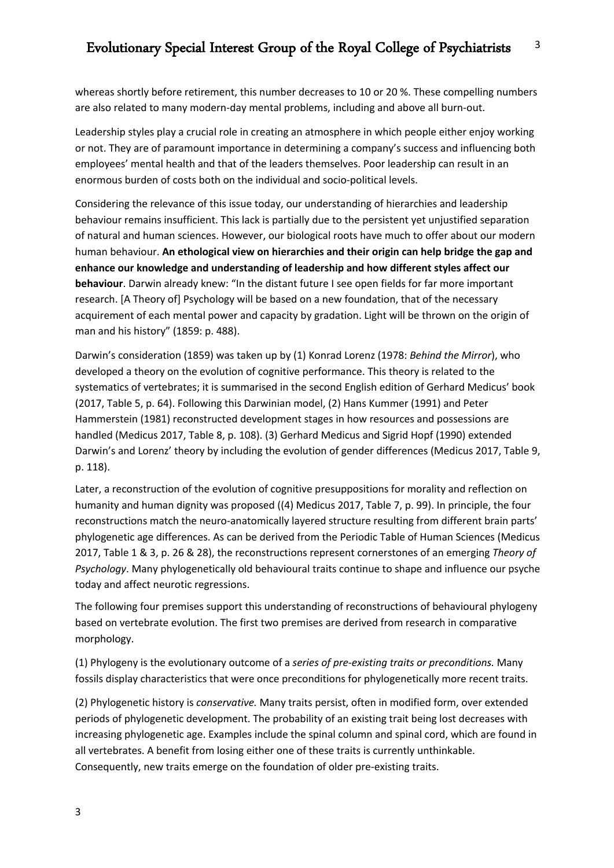whereas shortly before retirement, this number decreases to 10 or 20 %. These compelling numbers are also related to many modern-day mental problems, including and above all burn-out.

Leadership styles play a crucial role in creating an atmosphere in which people either enjoy working or not. They are of paramount importance in determining a company's success and influencing both employees' mental health and that of the leaders themselves. Poor leadership can result in an enormous burden of costs both on the individual and socio-political levels.

Considering the relevance of this issue today, our understanding of hierarchies and leadership behaviour remains insufficient. This lack is partially due to the persistent yet unjustified separation of natural and human sciences. However, our biological roots have much to offer about our modern human behaviour. **An ethological view on hierarchies and their origin can help bridge the gap and enhance our knowledge and understanding of leadership and how different styles affect our behaviour**. Darwin already knew: "In the distant future I see open fields for far more important research. [A Theory of] Psychology will be based on a new foundation, that of the necessary acquirement of each mental power and capacity by gradation. Light will be thrown on the origin of man and his history" (1859: p. 488).

Darwin's consideration (1859) was taken up by (1) Konrad Lorenz (1978: *Behind the Mirror*), who developed a theory on the evolution of cognitive performance. This theory is related to the systematics of vertebrates; it is summarised in the second English edition of Gerhard Medicus' book (2017, Table 5, p. 64). Following this Darwinian model, (2) Hans Kummer (1991) and Peter Hammerstein (1981) reconstructed development stages in how resources and possessions are handled (Medicus 2017, Table 8, p. 108). (3) Gerhard Medicus and Sigrid Hopf (1990) extended Darwin's and Lorenz' theory by including the evolution of gender differences (Medicus 2017, Table 9, p. 118).

Later, a reconstruction of the evolution of cognitive presuppositions for morality and reflection on humanity and human dignity was proposed ((4) Medicus 2017, Table 7, p. 99). In principle, the four reconstructions match the neuro-anatomically layered structure resulting from different brain parts' phylogenetic age differences. As can be derived from the Periodic Table of Human Sciences (Medicus 2017, Table 1 & 3, p. 26 & 28), the reconstructions represent cornerstones of an emerging *Theory of Psychology*. Many phylogenetically old behavioural traits continue to shape and influence our psyche today and affect neurotic regressions.

The following four premises support this understanding of reconstructions of behavioural phylogeny based on vertebrate evolution. The first two premises are derived from research in comparative morphology.

(1) Phylogeny is the evolutionary outcome of a *series of pre-existing traits or preconditions.* Many fossils display characteristics that were once preconditions for phylogenetically more recent traits.

(2) Phylogenetic history is *conservative.* Many traits persist, often in modified form, over extended periods of phylogenetic development. The probability of an existing trait being lost decreases with increasing phylogenetic age. Examples include the spinal column and spinal cord, which are found in all vertebrates. A benefit from losing either one of these traits is currently unthinkable. Consequently, new traits emerge on the foundation of older pre-existing traits.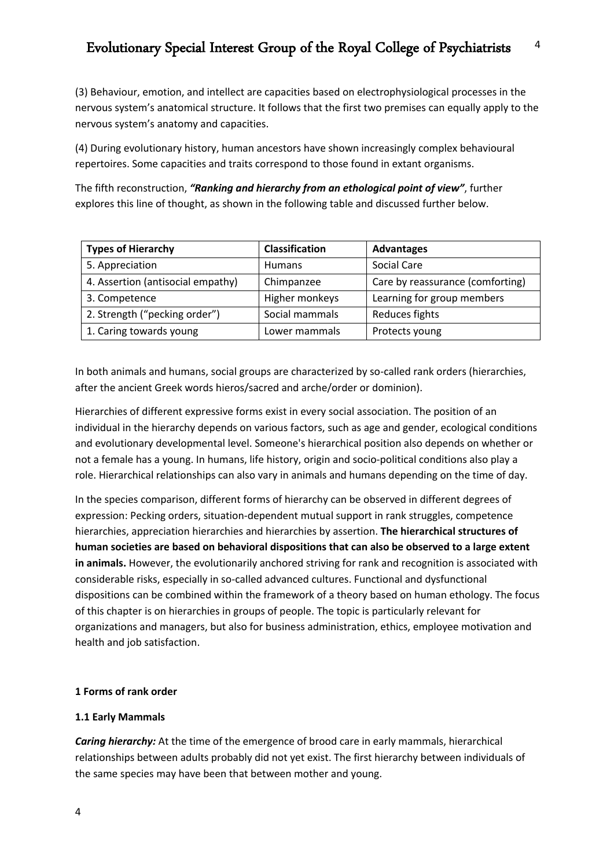(3) Behaviour, emotion, and intellect are capacities based on electrophysiological processes in the nervous system's anatomical structure. It follows that the first two premises can equally apply to the nervous system's anatomy and capacities.

(4) During evolutionary history, human ancestors have shown increasingly complex behavioural repertoires. Some capacities and traits correspond to those found in extant organisms.

The fifth reconstruction, *"Ranking and hierarchy from an ethological point of view"*, further explores this line of thought, as shown in the following table and discussed further below.

| <b>Types of Hierarchy</b>         | <b>Classification</b> | <b>Advantages</b>                |
|-----------------------------------|-----------------------|----------------------------------|
| 5. Appreciation                   | <b>Humans</b>         | Social Care                      |
| 4. Assertion (antisocial empathy) | Chimpanzee            | Care by reassurance (comforting) |
| 3. Competence                     | Higher monkeys        | Learning for group members       |
| 2. Strength ("pecking order")     | Social mammals        | Reduces fights                   |
| 1. Caring towards young           | Lower mammals         | Protects young                   |

In both animals and humans, social groups are characterized by so-called rank orders (hierarchies, after the ancient Greek words hieros/sacred and arche/order or dominion).

Hierarchies of different expressive forms exist in every social association. The position of an individual in the hierarchy depends on various factors, such as age and gender, ecological conditions and evolutionary developmental level. Someone's hierarchical position also depends on whether or not a female has a young. In humans, life history, origin and socio-political conditions also play a role. Hierarchical relationships can also vary in animals and humans depending on the time of day.

In the species comparison, different forms of hierarchy can be observed in different degrees of expression: Pecking orders, situation-dependent mutual support in rank struggles, competence hierarchies, appreciation hierarchies and hierarchies by assertion. **The hierarchical structures of human societies are based on behavioral dispositions that can also be observed to a large extent in animals.** However, the evolutionarily anchored striving for rank and recognition is associated with considerable risks, especially in so-called advanced cultures. Functional and dysfunctional dispositions can be combined within the framework of a theory based on human ethology. The focus of this chapter is on hierarchies in groups of people. The topic is particularly relevant for organizations and managers, but also for business administration, ethics, employee motivation and health and job satisfaction.

#### **1 Forms of rank order**

#### **1.1 Early Mammals**

*Caring hierarchy:* At the time of the emergence of brood care in early mammals, hierarchical relationships between adults probably did not yet exist. The first hierarchy between individuals of the same species may have been that between mother and young.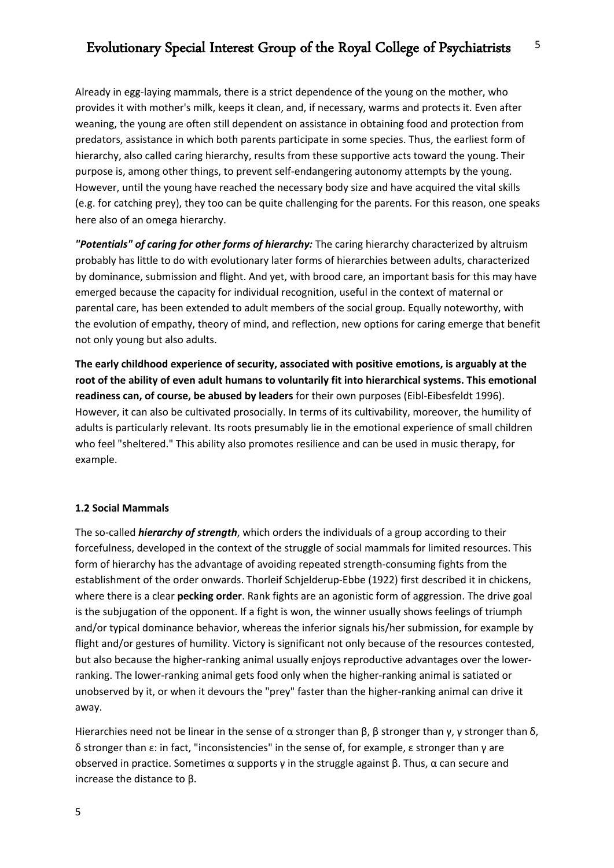#### Evolutionary Special Interest Group of the Royal College of Psychiatrists 5

Already in egg-laying mammals, there is a strict dependence of the young on the mother, who provides it with mother's milk, keeps it clean, and, if necessary, warms and protects it. Even after weaning, the young are often still dependent on assistance in obtaining food and protection from predators, assistance in which both parents participate in some species. Thus, the earliest form of hierarchy, also called caring hierarchy, results from these supportive acts toward the young. Their purpose is, among other things, to prevent self-endangering autonomy attempts by the young. However, until the young have reached the necessary body size and have acquired the vital skills (e.g. for catching prey), they too can be quite challenging for the parents. For this reason, one speaks here also of an omega hierarchy.

*"Potentials" of caring for other forms of hierarchy:* The caring hierarchy characterized by altruism probably has little to do with evolutionary later forms of hierarchies between adults, characterized by dominance, submission and flight. And yet, with brood care, an important basis for this may have emerged because the capacity for individual recognition, useful in the context of maternal or parental care, has been extended to adult members of the social group. Equally noteworthy, with the evolution of empathy, theory of mind, and reflection, new options for caring emerge that benefit not only young but also adults.

**The early childhood experience of security, associated with positive emotions, is arguably at the root of the ability of even adult humans to voluntarily fit into hierarchical systems. This emotional readiness can, of course, be abused by leaders** for their own purposes (Eibl-Eibesfeldt 1996). However, it can also be cultivated prosocially. In terms of its cultivability, moreover, the humility of adults is particularly relevant. Its roots presumably lie in the emotional experience of small children who feel "sheltered." This ability also promotes resilience and can be used in music therapy, for example.

#### **1.2 Social Mammals**

The so-called *hierarchy of strength*, which orders the individuals of a group according to their forcefulness, developed in the context of the struggle of social mammals for limited resources. This form of hierarchy has the advantage of avoiding repeated strength-consuming fights from the establishment of the order onwards. Thorleif Schjelderup-Ebbe (1922) first described it in chickens, where there is a clear **pecking order**. Rank fights are an agonistic form of aggression. The drive goal is the subjugation of the opponent. If a fight is won, the winner usually shows feelings of triumph and/or typical dominance behavior, whereas the inferior signals his/her submission, for example by flight and/or gestures of humility. Victory is significant not only because of the resources contested, but also because the higher-ranking animal usually enjoys reproductive advantages over the lowerranking. The lower-ranking animal gets food only when the higher-ranking animal is satiated or unobserved by it, or when it devours the "prey" faster than the higher-ranking animal can drive it away.

Hierarchies need not be linear in the sense of  $\alpha$  stronger than  $\beta$ ,  $\beta$  stronger than  $\gamma$ ,  $\gamma$  stronger than  $\delta$ , δ stronger than ε: in fact, "inconsistencies" in the sense of, for example, ε stronger than γ are observed in practice. Sometimes  $\alpha$  supports γ in the struggle against  $\beta$ . Thus,  $\alpha$  can secure and increase the distance to β.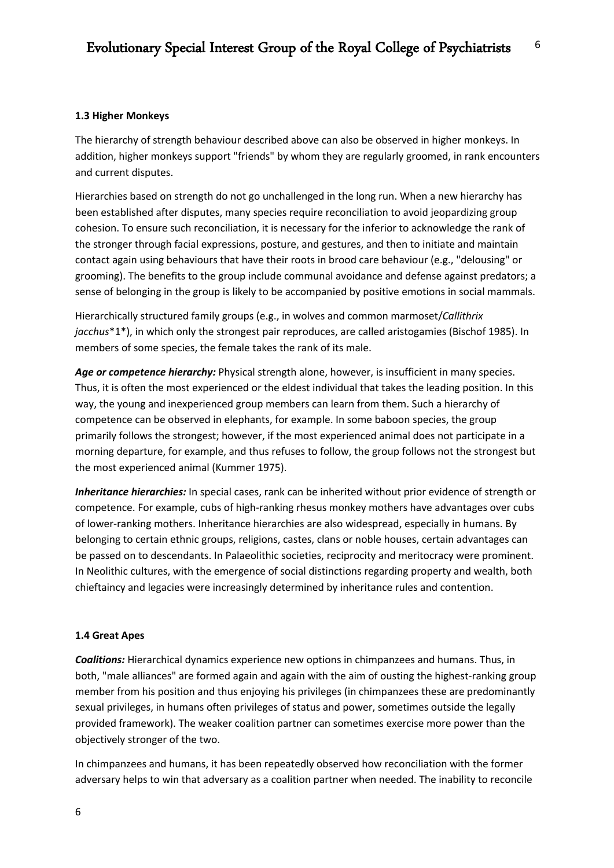#### **1.3 Higher Monkeys**

The hierarchy of strength behaviour described above can also be observed in higher monkeys. In addition, higher monkeys support "friends" by whom they are regularly groomed, in rank encounters and current disputes.

Hierarchies based on strength do not go unchallenged in the long run. When a new hierarchy has been established after disputes, many species require reconciliation to avoid jeopardizing group cohesion. To ensure such reconciliation, it is necessary for the inferior to acknowledge the rank of the stronger through facial expressions, posture, and gestures, and then to initiate and maintain contact again using behaviours that have their roots in brood care behaviour (e.g., "delousing" or grooming). The benefits to the group include communal avoidance and defense against predators; a sense of belonging in the group is likely to be accompanied by positive emotions in social mammals.

Hierarchically structured family groups (e.g., in wolves and common marmoset/*Callithrix jacchus*\*1\*), in which only the strongest pair reproduces, are called aristogamies (Bischof 1985). In members of some species, the female takes the rank of its male.

Age or competence hierarchy: Physical strength alone, however, is insufficient in many species. Thus, it is often the most experienced or the eldest individual that takes the leading position. In this way, the young and inexperienced group members can learn from them. Such a hierarchy of competence can be observed in elephants, for example. In some baboon species, the group primarily follows the strongest; however, if the most experienced animal does not participate in a morning departure, for example, and thus refuses to follow, the group follows not the strongest but the most experienced animal (Kummer 1975).

*Inheritance hierarchies:* In special cases, rank can be inherited without prior evidence of strength or competence. For example, cubs of high-ranking rhesus monkey mothers have advantages over cubs of lower-ranking mothers. Inheritance hierarchies are also widespread, especially in humans. By belonging to certain ethnic groups, religions, castes, clans or noble houses, certain advantages can be passed on to descendants. In Palaeolithic societies, reciprocity and meritocracy were prominent. In Neolithic cultures, with the emergence of social distinctions regarding property and wealth, both chieftaincy and legacies were increasingly determined by inheritance rules and contention.

#### **1.4 Great Apes**

*Coalitions:* Hierarchical dynamics experience new options in chimpanzees and humans. Thus, in both, "male alliances" are formed again and again with the aim of ousting the highest-ranking group member from his position and thus enjoying his privileges (in chimpanzees these are predominantly sexual privileges, in humans often privileges of status and power, sometimes outside the legally provided framework). The weaker coalition partner can sometimes exercise more power than the objectively stronger of the two.

In chimpanzees and humans, it has been repeatedly observed how reconciliation with the former adversary helps to win that adversary as a coalition partner when needed. The inability to reconcile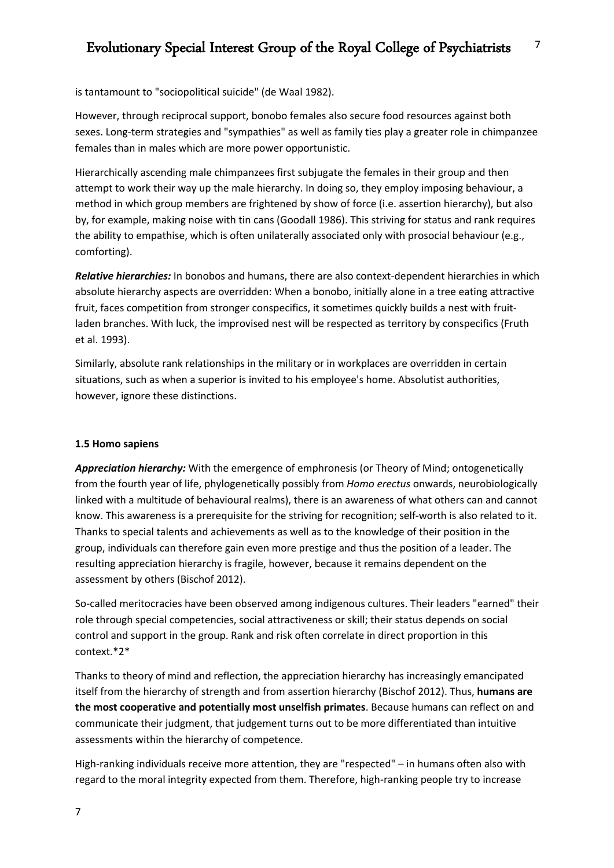is tantamount to "sociopolitical suicide" (de Waal 1982).

However, through reciprocal support, bonobo females also secure food resources against both sexes. Long-term strategies and "sympathies" as well as family ties play a greater role in chimpanzee females than in males which are more power opportunistic.

Hierarchically ascending male chimpanzees first subjugate the females in their group and then attempt to work their way up the male hierarchy. In doing so, they employ imposing behaviour, a method in which group members are frightened by show of force (i.e. assertion hierarchy), but also by, for example, making noise with tin cans (Goodall 1986). This striving for status and rank requires the ability to empathise, which is often unilaterally associated only with prosocial behaviour (e.g., comforting).

*Relative hierarchies:* In bonobos and humans, there are also context-dependent hierarchies in which absolute hierarchy aspects are overridden: When a bonobo, initially alone in a tree eating attractive fruit, faces competition from stronger conspecifics, it sometimes quickly builds a nest with fruitladen branches. With luck, the improvised nest will be respected as territory by conspecifics (Fruth et al. 1993).

Similarly, absolute rank relationships in the military or in workplaces are overridden in certain situations, such as when a superior is invited to his employee's home. Absolutist authorities, however, ignore these distinctions.

#### **1.5 Homo sapiens**

*Appreciation hierarchy:* With the emergence of emphronesis (or Theory of Mind; ontogenetically from the fourth year of life, phylogenetically possibly from *Homo erectus* onwards, neurobiologically linked with a multitude of behavioural realms), there is an awareness of what others can and cannot know. This awareness is a prerequisite for the striving for recognition; self-worth is also related to it. Thanks to special talents and achievements as well as to the knowledge of their position in the group, individuals can therefore gain even more prestige and thus the position of a leader. The resulting appreciation hierarchy is fragile, however, because it remains dependent on the assessment by others (Bischof 2012).

So-called meritocracies have been observed among indigenous cultures. Their leaders "earned" their role through special competencies, social attractiveness or skill; their status depends on social control and support in the group. Rank and risk often correlate in direct proportion in this context.\*2\*

Thanks to theory of mind and reflection, the appreciation hierarchy has increasingly emancipated itself from the hierarchy of strength and from assertion hierarchy (Bischof 2012). Thus, **humans are the most cooperative and potentially most unselfish primates**. Because humans can reflect on and communicate their judgment, that judgement turns out to be more differentiated than intuitive assessments within the hierarchy of competence.

High-ranking individuals receive more attention, they are "respected" – in humans often also with regard to the moral integrity expected from them. Therefore, high-ranking people try to increase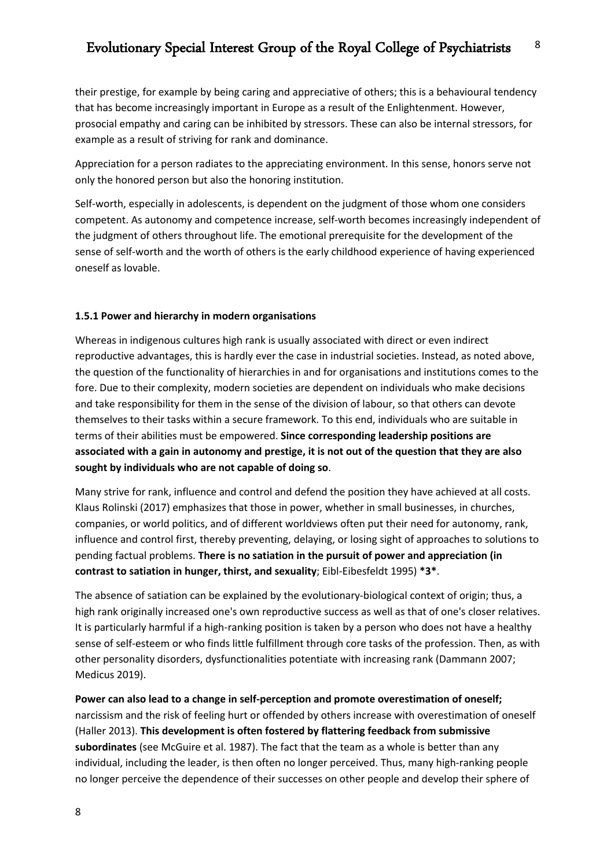their prestige, for example by being caring and appreciative of others; this is a behavioural tendency that has become increasingly important in Europe as a result of the Enlightenment. However, prosocial empathy and caring can be inhibited by stressors. These can also be internal stressors, for example as a result of striving for rank and dominance.

Appreciation for a person radiates to the appreciating environment. In this sense, honors serve not only the honored person but also the honoring institution.

Self-worth, especially in adolescents, is dependent on the judgment of those whom one considers competent. As autonomy and competence increase, self-worth becomes increasingly independent of the judgment of others throughout life. The emotional prerequisite for the development of the sense of self-worth and the worth of others is the early childhood experience of having experienced oneself as lovable.

#### **1.5.1 Power and hierarchy in modern organisations**

Whereas in indigenous cultures high rank is usually associated with direct or even indirect reproductive advantages, this is hardly ever the case in industrial societies. Instead, as noted above, the question of the functionality of hierarchies in and for organisations and institutions comes to the fore. Due to their complexity, modern societies are dependent on individuals who make decisions and take responsibility for them in the sense of the division of labour, so that others can devote themselves to their tasks within a secure framework. To this end, individuals who are suitable in terms of their abilities must be empowered. **Since corresponding leadership positions are associated with a gain in autonomy and prestige, it is not out of the question that they are also sought by individuals who are not capable of doing so**.

Many strive for rank, influence and control and defend the position they have achieved at all costs. Klaus Rolinski (2017) emphasizes that those in power, whether in small businesses, in churches, companies, or world politics, and of different worldviews often put their need for autonomy, rank, influence and control first, thereby preventing, delaying, or losing sight of approaches to solutions to pending factual problems. **There is no satiation in the pursuit of power and appreciation (in contrast to satiation in hunger, thirst, and sexuality**; Eibl-Eibesfeldt 1995) **\*3\***.

The absence of satiation can be explained by the evolutionary-biological context of origin; thus, a high rank originally increased one's own reproductive success as well as that of one's closer relatives. It is particularly harmful if a high-ranking position is taken by a person who does not have a healthy sense of self-esteem or who finds little fulfillment through core tasks of the profession. Then, as with other personality disorders, dysfunctionalities potentiate with increasing rank (Dammann 2007; Medicus 2019).

**Power can also lead to a change in self-perception and promote overestimation of oneself;** narcissism and the risk of feeling hurt or offended by others increase with overestimation of oneself (Haller 2013). **This development is often fostered by flattering feedback from submissive subordinates** (see McGuire et al. 1987). The fact that the team as a whole is better than any individual, including the leader, is then often no longer perceived. Thus, many high-ranking people no longer perceive the dependence of their successes on other people and develop their sphere of